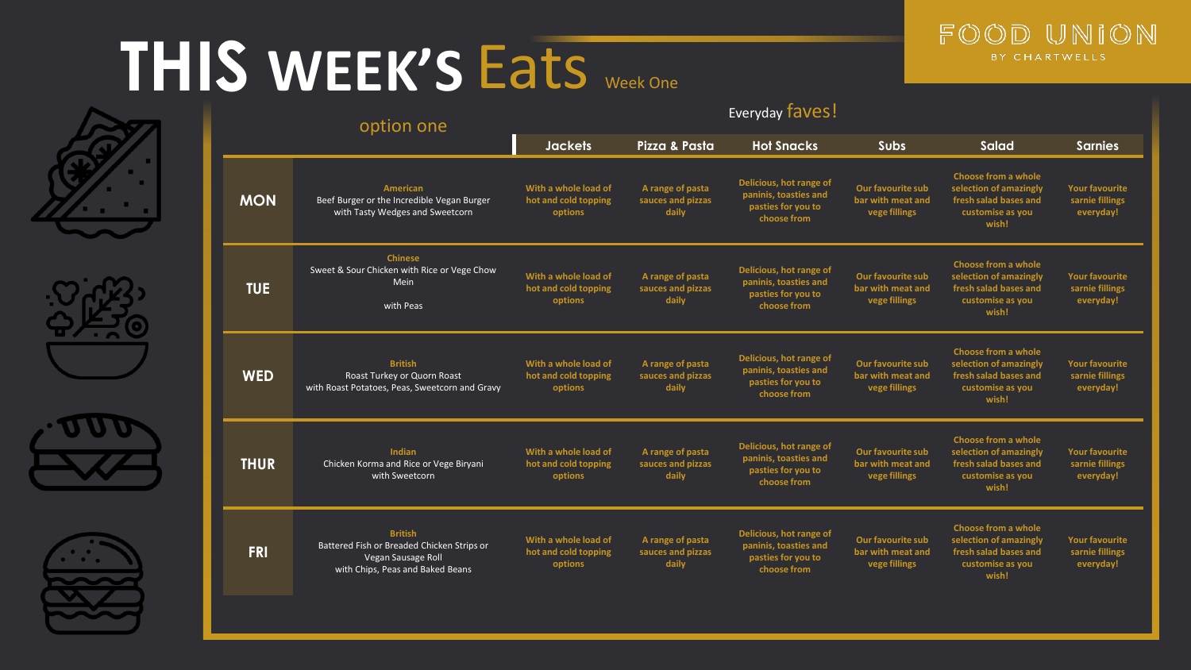### **THIS WEEK'S** Eats Week One











| option one  |                                                                                                                        | Everyday faves!                                         |                                                |                                                                                       |                                                         |                                                                                                            |                                                       |
|-------------|------------------------------------------------------------------------------------------------------------------------|---------------------------------------------------------|------------------------------------------------|---------------------------------------------------------------------------------------|---------------------------------------------------------|------------------------------------------------------------------------------------------------------------|-------------------------------------------------------|
|             |                                                                                                                        | <b>Jackets</b>                                          | Pizza & Pasta                                  | <b>Hot Snacks</b>                                                                     | <b>Subs</b>                                             | <b>Salad</b>                                                                                               | <b>Sarnies</b>                                        |
| <b>MON</b>  | <b>American</b><br>Beef Burger or the Incredible Vegan Burger<br>with Tasty Wedges and Sweetcorn                       | With a whole load of<br>hot and cold topping<br>options | A range of pasta<br>sauces and pizzas<br>daily | Delicious, hot range of<br>paninis, toasties and<br>pasties for you to<br>choose from | Our favourite sub<br>bar with meat and<br>vege fillings | Choose from a whole<br>selection of amazingly<br>fresh salad bases and<br>customise as you<br>wish!        | <b>Your favourite</b><br>sarnie fillings<br>everyday! |
| <b>TUE</b>  | <b>Chinese</b><br>Sweet & Sour Chicken with Rice or Vege Chow<br><b>Mein</b><br>with Peas                              | With a whole load of<br>hot and cold topping<br>options | A range of pasta<br>sauces and pizzas<br>daily | Delicious, hot range of<br>paninis, toasties and<br>pasties for you to<br>choose from | Our favourite sub<br>bar with meat and<br>vege fillings | <b>Choose from a whole</b><br>selection of amazingly<br>fresh salad bases and<br>customise as you<br>wish! | <b>Your favourite</b><br>sarnie fillings<br>everyday! |
| <b>WED</b>  | <b>British</b><br>Roast Turkey or Quorn Roast<br>with Roast Potatoes, Peas, Sweetcorn and Gravy                        | With a whole load of<br>hot and cold topping<br>options | A range of pasta<br>sauces and pizzas<br>daily | Delicious, hot range of<br>paninis, toasties and<br>pasties for you to<br>choose from | Our favourite sub<br>bar with meat and<br>vege fillings | <b>Choose from a whole</b><br>selection of amazingly<br>fresh salad bases and<br>customise as you<br>wish! | <b>Your favourite</b><br>sarnie fillings<br>everyday! |
| <b>THUR</b> | Indian<br>Chicken Korma and Rice or Vege Biryani<br>with Sweetcorn                                                     | With a whole load of<br>hot and cold topping<br>options | A range of pasta<br>sauces and pizzas<br>daily | Delicious, hot range of<br>paninis, toasties and<br>pasties for you to<br>choose from | Our favourite sub<br>bar with meat and<br>vege fillings | Choose from a whole<br>selection of amazingly<br>fresh salad bases and<br>customise as you<br>wish!        | <b>Your favourite</b><br>sarnie fillings<br>everyday! |
| <b>FRI</b>  | <b>British</b><br>Battered Fish or Breaded Chicken Strips or<br>Vegan Sausage Roll<br>with Chips, Peas and Baked Beans | With a whole load of<br>hot and cold topping<br>options | A range of pasta<br>sauces and pizzas<br>daily | Delicious, hot range of<br>paninis, toasties and<br>pasties for you to<br>choose from | Our favourite sub<br>bar with meat and<br>vege fillings | <b>Choose from a whole</b><br>selection of amazingly<br>fresh salad bases and<br>customise as you<br>wish! | <b>Your favourite</b><br>sarnie fillings<br>everyday! |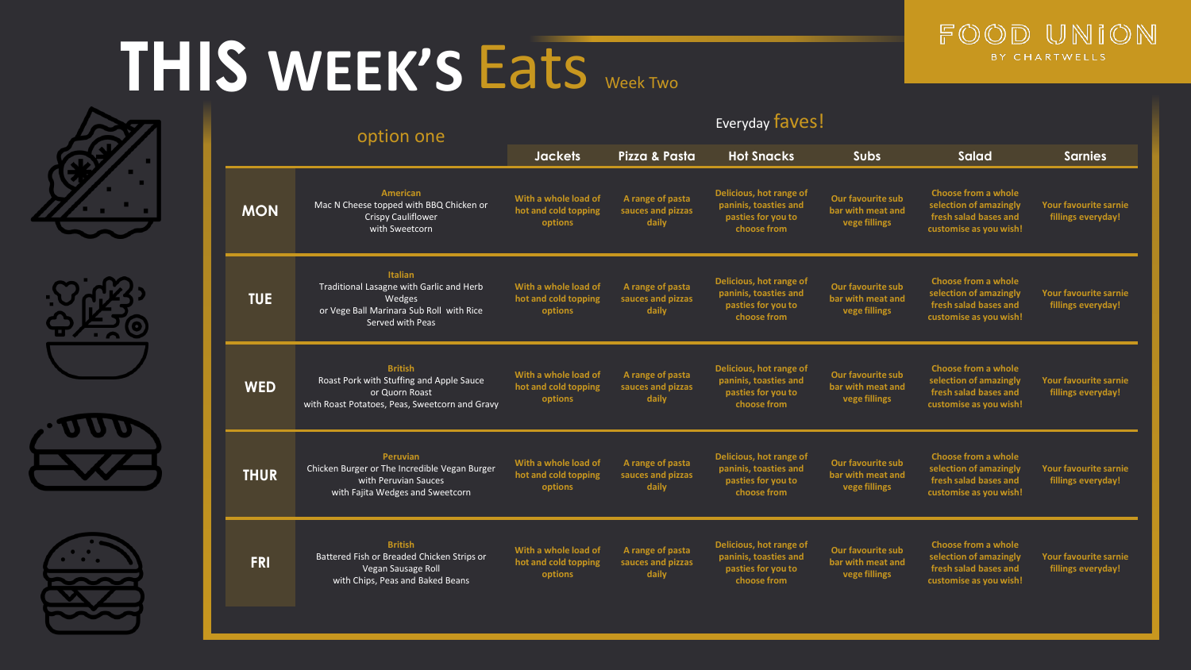### **THIS WEEK'S** Eats Week Two











| option one  |                                                                                                                                      | Everyday faves!                                         |                                                |                                                                                       |                                                                |                                                                                                         |                                                    |
|-------------|--------------------------------------------------------------------------------------------------------------------------------------|---------------------------------------------------------|------------------------------------------------|---------------------------------------------------------------------------------------|----------------------------------------------------------------|---------------------------------------------------------------------------------------------------------|----------------------------------------------------|
|             |                                                                                                                                      |                                                         | Pizza & Pasta                                  | <b>Hot Snacks</b>                                                                     | <b>Subs</b>                                                    | Salad                                                                                                   | <b>Sarnies</b>                                     |
| <b>MON</b>  | <b>American</b><br>Mac N Cheese topped with BBQ Chicken or<br><b>Crispy Cauliflower</b><br>with Sweetcorn                            | With a whole load of<br>hot and cold topping<br>options | A range of pasta<br>sauces and pizzas<br>daily | Delicious, hot range of<br>paninis, toasties and<br>pasties for you to<br>choose from | Our favourite sub<br>bar with meat and<br>vege fillings        | <b>Choose from a whole</b><br>selection of amazingly<br>fresh salad bases and<br>customise as you wish! | Your favourite sarnie<br>fillings everyday!        |
| <b>TUE</b>  | <b>Italian</b><br>Traditional Lasagne with Garlic and Herb<br>Wedges<br>or Vege Ball Marinara Sub Roll with Rice<br>Served with Peas | With a whole load of<br>hot and cold topping<br>options | A range of pasta<br>sauces and pizzas<br>daily | Delicious, hot range of<br>paninis, toasties and<br>pasties for you to<br>choose from | <b>Our favourite sub</b><br>bar with meat and<br>vege fillings | <b>Choose from a whole</b><br>selection of amazingly<br>fresh salad bases and<br>customise as you wish! | Your favourite sarnie<br>fillings everyday!        |
| <b>WED</b>  | <b>British</b><br>Roast Pork with Stuffing and Apple Sauce<br>or Quorn Roast<br>with Roast Potatoes, Peas, Sweetcorn and Gravy       | With a whole load of<br>hot and cold topping<br>options | A range of pasta<br>sauces and pizzas<br>daily | Delicious, hot range of<br>paninis, toasties and<br>pasties for you to<br>choose from | Our favourite sub<br>bar with meat and<br>vege fillings        | <b>Choose from a whole</b><br>selection of amazingly<br>fresh salad bases and<br>customise as you wish! | <b>Your favourite sarnie</b><br>fillings everyday! |
| <b>THUR</b> | Peruvian<br>Chicken Burger or The Incredible Vegan Burger<br>with Peruvian Sauces<br>with Fajita Wedges and Sweetcorn                | With a whole load of<br>hot and cold topping<br>options | A range of pasta<br>sauces and pizzas<br>daily | Delicious, hot range of<br>paninis, toasties and<br>pasties for you to<br>choose from | Our favourite sub<br>bar with meat and<br>vege fillings        | Choose from a whole<br>selection of amazingly<br>fresh salad bases and<br>customise as you wish!        | Your favourite sarnie<br>fillings everyday!        |
| <b>FRI</b>  | <b>British</b><br>Battered Fish or Breaded Chicken Strips or<br>Vegan Sausage Roll<br>with Chips, Peas and Baked Beans               | With a whole load of<br>hot and cold topping<br>options | A range of pasta<br>sauces and pizzas<br>daily | Delicious, hot range of<br>paninis, toasties and<br>pasties for you to<br>choose from | Our favourite sub<br>bar with meat and<br>vege fillings        | <b>Choose from a whole</b><br>selection of amazingly<br>fresh salad bases and<br>customise as you wish! | Your favourite sarnie<br>fillings everyday!        |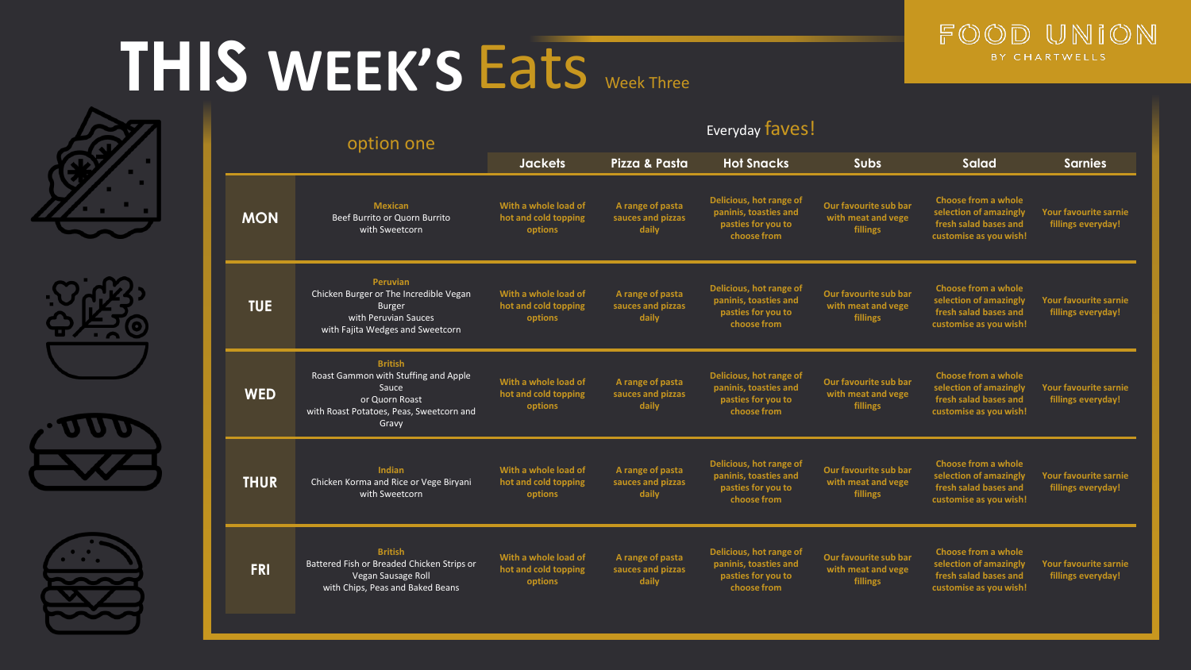### **THIS WEEK'S** Eats Week Three











| option one  |                                                                                                                                        |                                                         |                                                | Everyday faves!                                                                       |                                                                |                                                                                                  |                                                    |
|-------------|----------------------------------------------------------------------------------------------------------------------------------------|---------------------------------------------------------|------------------------------------------------|---------------------------------------------------------------------------------------|----------------------------------------------------------------|--------------------------------------------------------------------------------------------------|----------------------------------------------------|
|             |                                                                                                                                        |                                                         | Pizza & Pasta                                  | <b>Hot Snacks</b>                                                                     | <b>Subs</b>                                                    | <b>Salad</b>                                                                                     | <b>Sarnies</b>                                     |
| <b>MON</b>  | <b>Mexican</b><br>Beef Burrito or Quorn Burrito<br>with Sweetcorn                                                                      | With a whole load of<br>hot and cold topping<br>options | A range of pasta<br>sauces and pizzas<br>daily | Delicious, hot range of<br>paninis, toasties and<br>pasties for you to<br>choose from | Our favourite sub bar<br>with meat and vege<br>fillings        | Choose from a whole<br>selection of amazingly<br>fresh salad bases and<br>customise as you wish! | <b>Your favourite sarnie</b><br>fillings everyday! |
| <b>TUE</b>  | <b>Peruvian</b><br>Chicken Burger or The Incredible Vegan<br><b>Burger</b><br>with Peruvian Sauces<br>with Fajita Wedges and Sweetcorn | With a whole load of<br>hot and cold topping<br>options | A range of pasta<br>sauces and pizzas<br>daily | Delicious, hot range of<br>paninis, toasties and<br>pasties for you to<br>choose from | Our favourite sub bar<br>with meat and vege<br>fillings        | Choose from a whole<br>selection of amazingly<br>fresh salad bases and<br>customise as you wish! | Your favourite sarnie<br>fillings everyday!        |
| <b>WED</b>  | <b>British</b><br>Roast Gammon with Stuffing and Apple<br>Sauce<br>or Quorn Roast<br>with Roast Potatoes, Peas, Sweetcorn and<br>Gravy | With a whole load of<br>hot and cold topping<br>options | A range of pasta<br>sauces and pizzas<br>daily | Delicious, hot range of<br>paninis, toasties and<br>pasties for you to<br>choose from | Our favourite sub bar<br>with meat and vege<br>fillings        | Choose from a whole<br>selection of amazingly<br>fresh salad bases and<br>customise as you wish! | <b>Your favourite sarnie</b><br>fillings everyday! |
| <b>THUR</b> | Indian<br>Chicken Korma and Rice or Vege Biryani<br>with Sweetcorn                                                                     | With a whole load of<br>hot and cold topping<br>options | A range of pasta<br>sauces and pizzas<br>daily | Delicious, hot range of<br>paninis, toasties and<br>pasties for you to<br>choose from | Our favourite sub bar<br>with meat and vege<br>fillings        | Choose from a whole<br>selection of amazingly<br>fresh salad bases and<br>customise as you wish! | <b>Your favourite sarnie</b><br>fillings everyday! |
| <b>FRI</b>  | <b>British</b><br>Battered Fish or Breaded Chicken Strips or<br>Vegan Sausage Roll<br>with Chips, Peas and Baked Beans                 | With a whole load of<br>hot and cold topping<br>options | A range of pasta<br>sauces and pizzas<br>daily | Delicious, hot range of<br>paninis, toasties and<br>pasties for you to<br>choose from | Our favourite sub bar<br>with meat and vege<br><b>fillings</b> | Choose from a whole<br>selection of amazingly<br>fresh salad bases and<br>customise as you wish! | Your favourite sarnie<br>fillings everyday!        |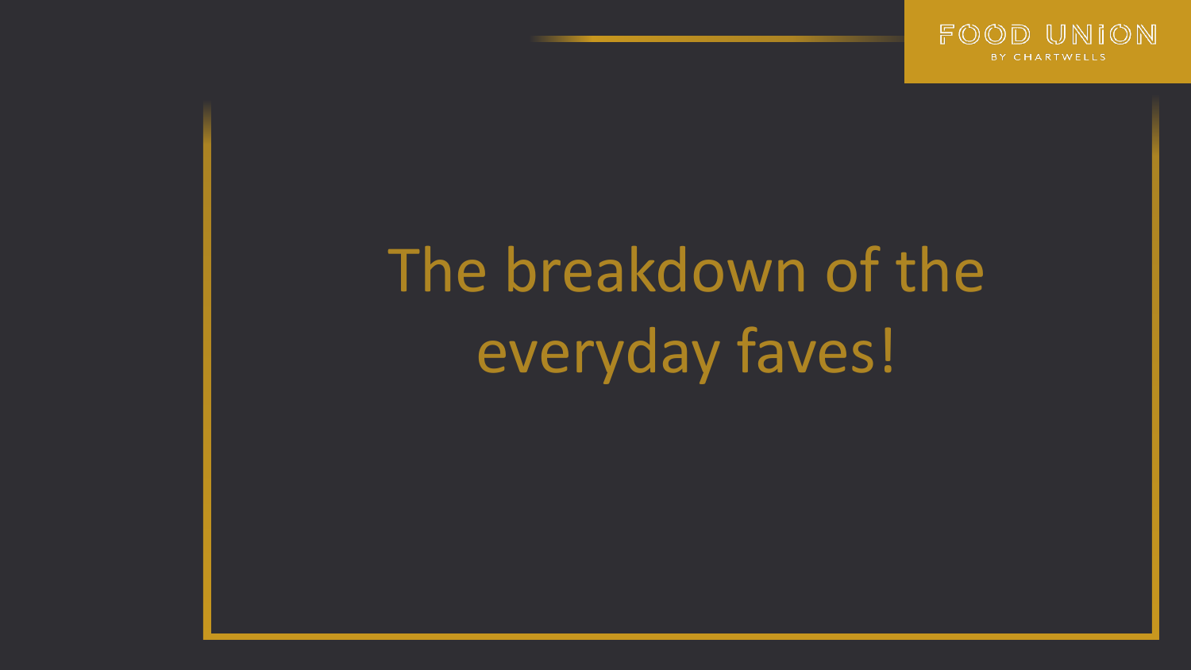

# The breakdown of the everyday faves!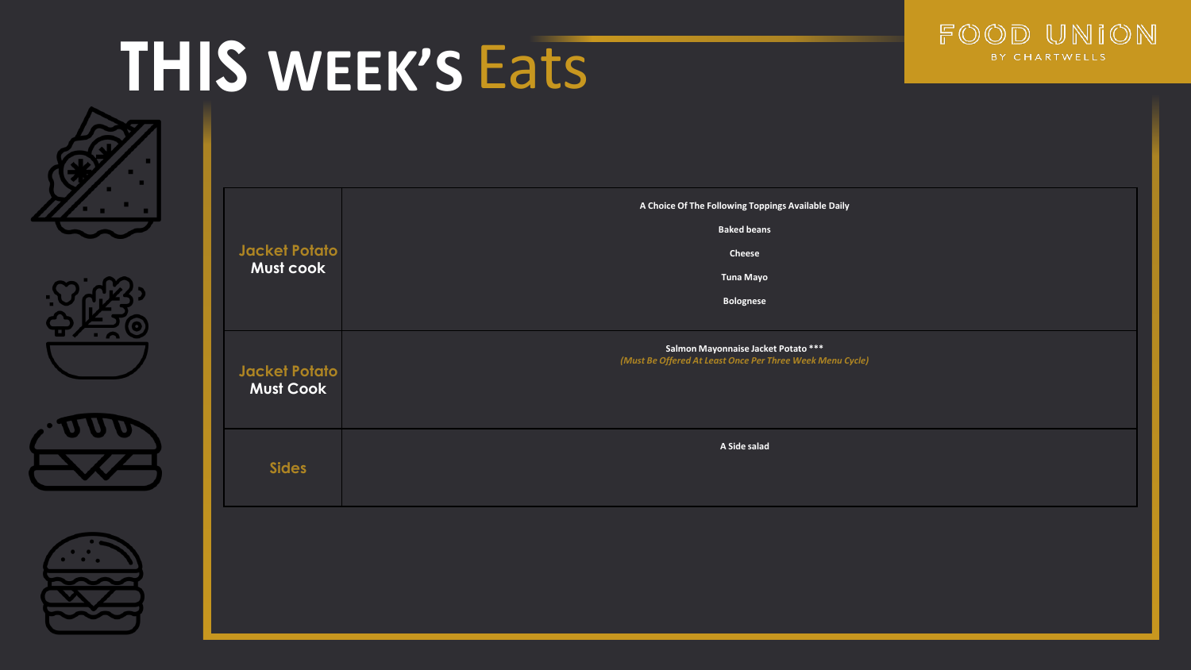









| Jacket Potato<br>Must cook               | A Choice Of The Following Toppings Available Daily<br><b>Baked beans</b><br>Cheese<br><b>Tuna Mayo</b><br>Bolognese |
|------------------------------------------|---------------------------------------------------------------------------------------------------------------------|
| <b>Jacket Potato</b><br><b>Must Cook</b> | Salmon Mayonnaise Jacket Potato ***<br>(Must Be Offered At Least Once Per Three Week Menu Cycle)                    |
| <b>Sides</b>                             | A Side salad                                                                                                        |
|                                          |                                                                                                                     |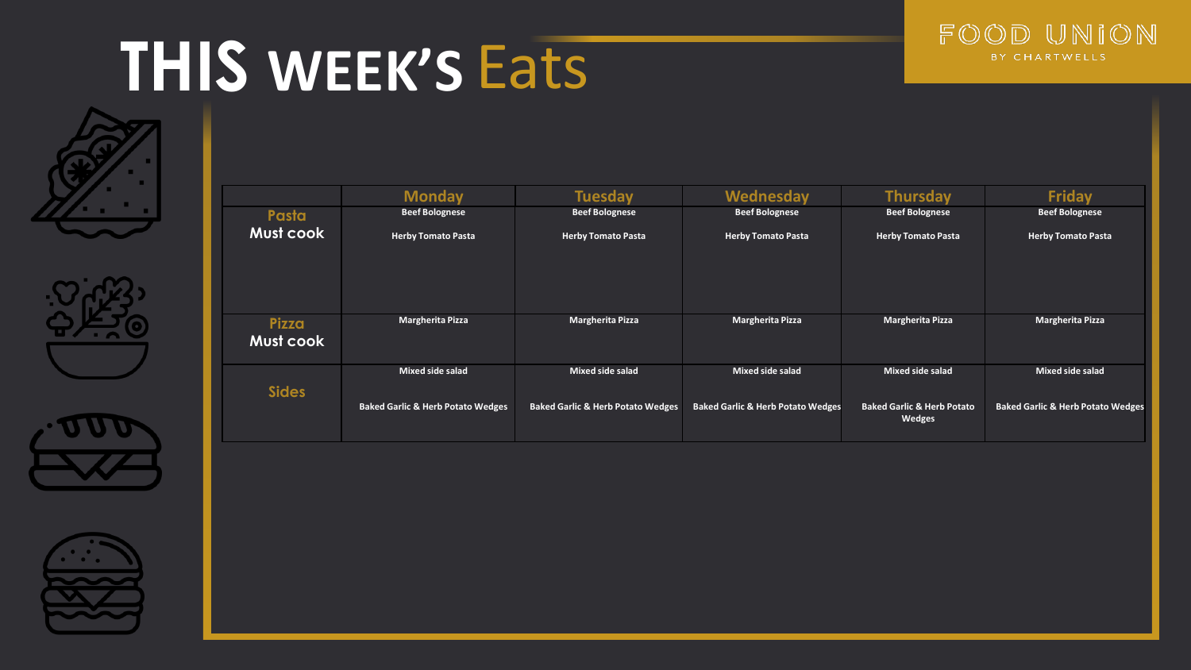









|                    | <b>Monday</b>                                | <b>Tuesday</b>                               | Wednesday                                    | <b>Thursday</b>                                 | <b>Friday</b>                                |
|--------------------|----------------------------------------------|----------------------------------------------|----------------------------------------------|-------------------------------------------------|----------------------------------------------|
| Pasta              | <b>Beef Bolognese</b>                        | <b>Beef Bolognese</b>                        | <b>Beef Bolognese</b>                        | <b>Beef Bolognese</b>                           | <b>Beef Bolognese</b>                        |
| Must cook          | <b>Herby Tomato Pasta</b>                    | <b>Herby Tomato Pasta</b>                    | <b>Herby Tomato Pasta</b>                    | <b>Herby Tomato Pasta</b>                       | <b>Herby Tomato Pasta</b>                    |
| Pizza<br>Must cook | Margherita Pizza                             | Margherita Pizza                             | Margherita Pizza                             | Margherita Pizza                                | Margherita Pizza                             |
| <b>Sides</b>       | Mixed side salad                             | Mixed side salad                             | Mixed side salad                             | Mixed side salad                                | Mixed side salad                             |
|                    | <b>Baked Garlic &amp; Herb Potato Wedges</b> | <b>Baked Garlic &amp; Herb Potato Wedges</b> | <b>Baked Garlic &amp; Herb Potato Wedges</b> | <b>Baked Garlic &amp; Herb Potato</b><br>Wedges | <b>Baked Garlic &amp; Herb Potato Wedges</b> |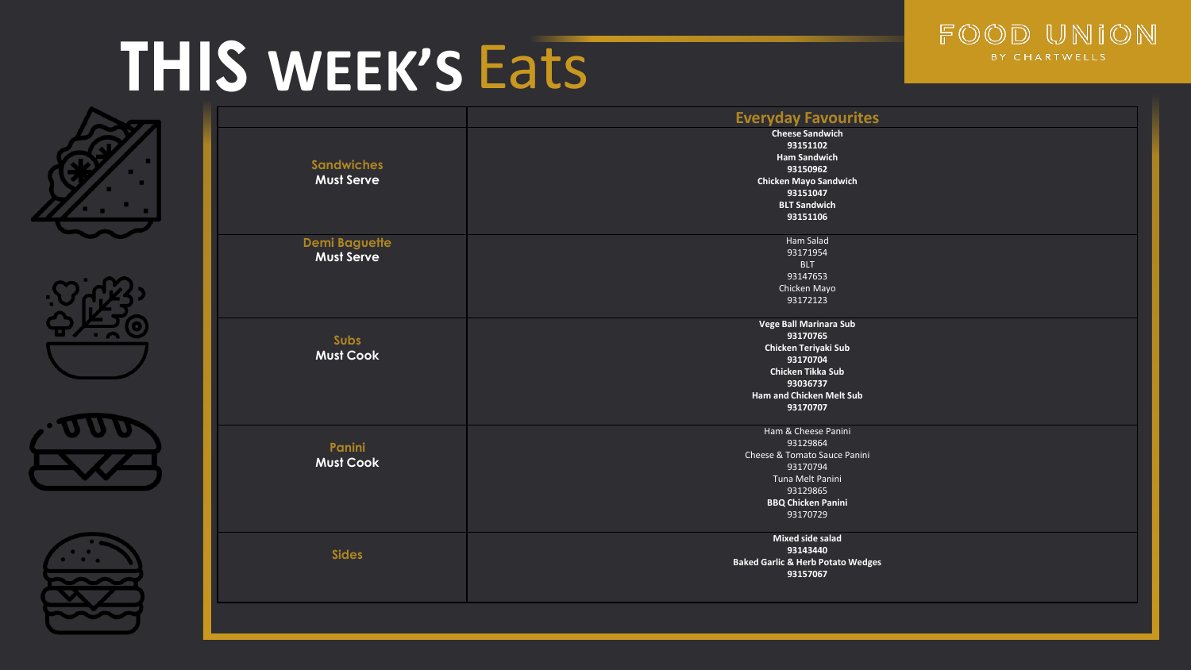









|                      | <b>Everyday Favourites</b>                   |
|----------------------|----------------------------------------------|
|                      | <b>Cheese Sandwich</b>                       |
|                      | 93151102                                     |
|                      | <b>Ham Sandwich</b>                          |
| <b>Sandwiches</b>    | 93150962                                     |
| <b>Must Serve</b>    | <b>Chicken Mayo Sandwich</b>                 |
|                      | 93151047                                     |
|                      | <b>BLT Sandwich</b>                          |
|                      | 93151106                                     |
| <b>Demi Baguette</b> | Ham Salad                                    |
| <b>Must Serve</b>    | 93171954                                     |
|                      | <b>BLT</b>                                   |
|                      | 93147653                                     |
|                      | Chicken Mayo                                 |
|                      | 93172123                                     |
|                      | <b>Vege Ball Marinara Sub</b>                |
| Subs                 | 93170765                                     |
| <b>Must Cook</b>     | Chicken Teriyaki Sub                         |
|                      | 93170704                                     |
|                      | Chicken Tikka Sub                            |
|                      | 93036737                                     |
|                      | <b>Ham and Chicken Melt Sub</b>              |
|                      | 93170707                                     |
|                      | Ham & Cheese Panini                          |
| Panini               | 93129864                                     |
| <b>Must Cook</b>     | Cheese & Tomato Sauce Panini                 |
|                      | 93170794                                     |
|                      | Tuna Melt Panini                             |
|                      | 93129865                                     |
|                      | <b>BBQ Chicken Panini</b>                    |
|                      | 93170729                                     |
|                      | Mixed side salad                             |
| <b>Sides</b>         | 93143440                                     |
|                      | <b>Baked Garlic &amp; Herb Potato Wedges</b> |
|                      | 93157067                                     |
|                      |                                              |
|                      |                                              |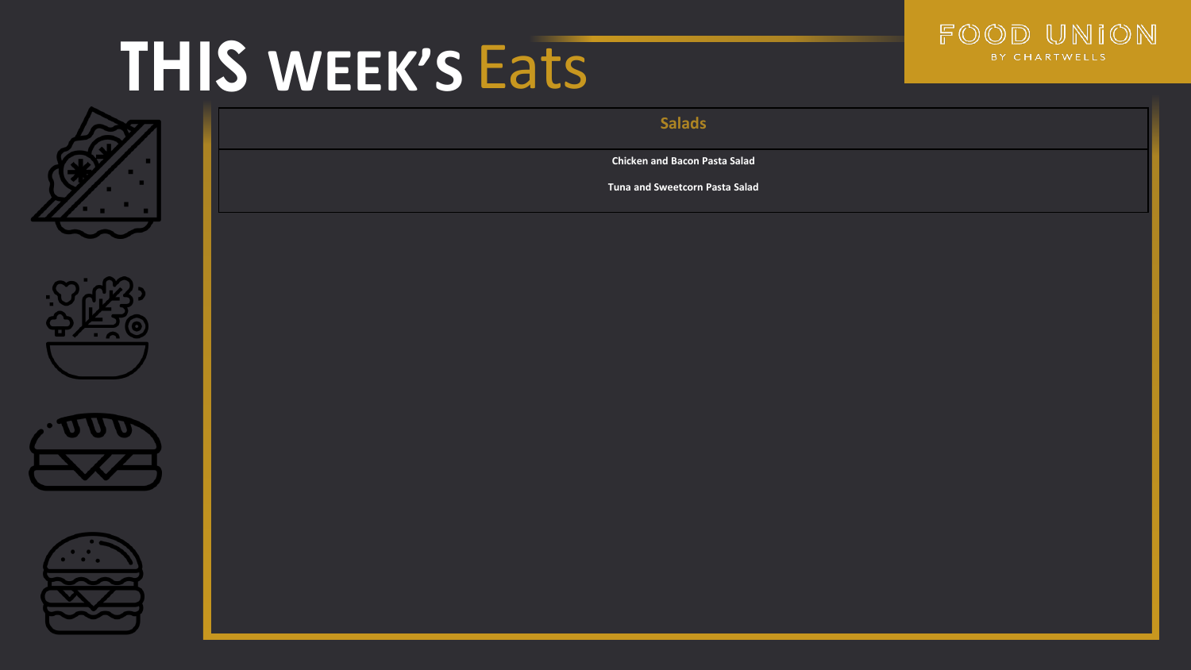